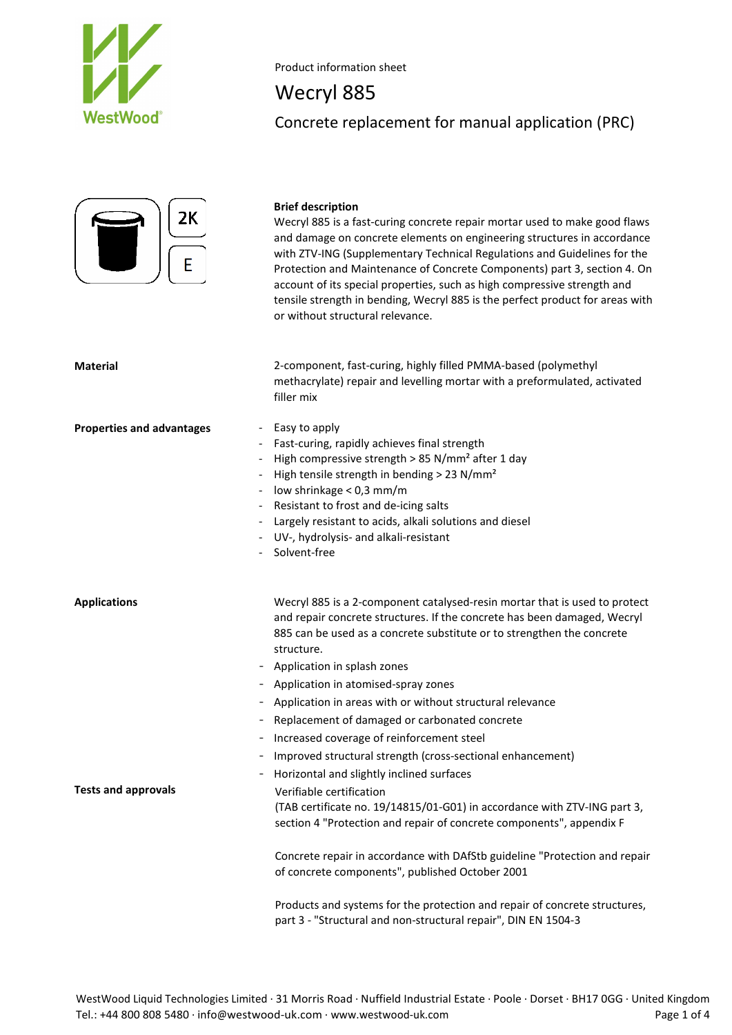

Wecryl 885 Concrete replacement for manual application (PRC)



# **Brief description**

Wecryl 885 is a fast-curing concrete repair mortar used to make good flaws and damage on concrete elements on engineering structures in accordance with ZTV-ING (Supplementary Technical Regulations and Guidelines for the Protection and Maintenance of Concrete Components) part 3, section 4. On account of its special properties, such as high compressive strength and tensile strength in bending, Wecryl 885 is the perfect product for areas with or without structural relevance.

**Material** 2-component, fast-curing, highly filled PMMA-based (polymethyl methacrylate) repair and levelling mortar with a preformulated, activated filler mix

### **Properties and advantages** - Easy to apply

- Fast-curing, rapidly achieves final strength
- High compressive strength > 85 N/mm<sup>2</sup> after 1 day
- High tensile strength in bending > 23 N/mm<sup>2</sup>
- low shrinkage < 0,3 mm/m
- Resistant to frost and de-icing salts
- Largely resistant to acids, alkali solutions and diesel
- UV-, hydrolysis- and alkali-resistant
- Solvent-free

**Applications** Wecryl 885 is a 2-component catalysed-resin mortar that is used to protect and repair concrete structures. If the concrete has been damaged, Wecryl 885 can be used as a concrete substitute or to strengthen the concrete structure.

- Application in splash zones
- Application in atomised-spray zones
- Application in areas with or without structural relevance
- Replacement of damaged or carbonated concrete
- Increased coverage of reinforcement steel
- Improved structural strength (cross-sectional enhancement)
- Horizontal and slightly inclined surfaces **Tests and approvals** Verifiable certification (TAB certificate no. 19/14815/01-G01) in accordance with ZTV-ING part 3,

section 4 "Protection and repair of concrete components", appendix F

Concrete repair in accordance with DAfStb guideline "Protection and repair of concrete components", published October 2001

Products and systems for the protection and repair of concrete structures, part 3 - "Structural and non-structural repair", DIN EN 1504-3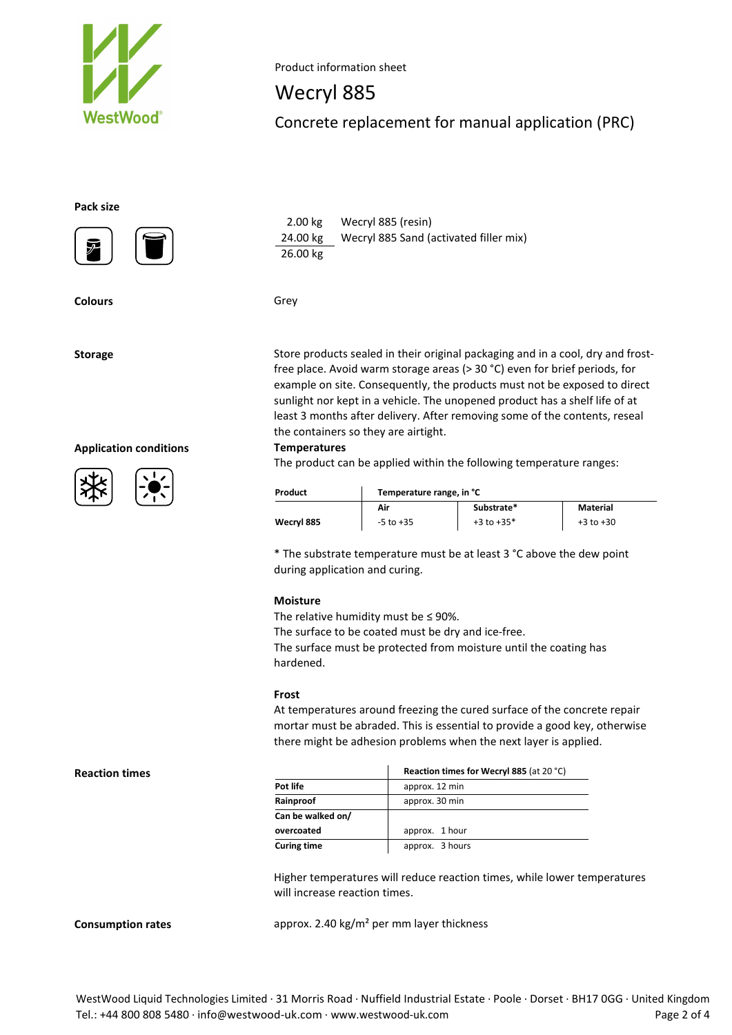

Wecryl 885

Concrete replacement for manual application (PRC)

## **Pack size**



 2.00 kg Wecryl 885 (resin) 24.00 kg Wecryl 885 Sand (activated filler mix) 26.00 kg

**Colours** Grey

**Application conditions Temperatures**





Storage Store products sealed in their original packaging and in a cool, dry and frostfree place. Avoid warm storage areas (> 30 °C) even for brief periods, for example on site. Consequently, the products must not be exposed to direct sunlight nor kept in a vehicle. The unopened product has a shelf life of at least 3 months after delivery. After removing some of the contents, reseal the containers so they are airtight.

The product can be applied within the following temperature ranges:

| Product    | Temperature range, in °C |                |               |
|------------|--------------------------|----------------|---------------|
|            | Air                      | Substrate*     | Material      |
| Wecryl 885 | $-5$ to $+35$            | $+3$ to $+35*$ | $+3$ to $+30$ |

\* The substrate temperature must be at least 3 °C above the dew point during application and curing.

### **Moisture**

The relative humidity must be  $\leq$  90%. The surface to be coated must be dry and ice-free. The surface must be protected from moisture until the coating has hardened.

### **Frost**

At temperatures around freezing the cured surface of the concrete repair mortar must be abraded. This is essential to provide a good key, otherwise there might be adhesion problems when the next layer is applied.

|                    | Reaction times for Wecryl 885 (at 20 °C) |  |
|--------------------|------------------------------------------|--|
| Pot life           | approx. 12 min                           |  |
| Rainproof          | approx. 30 min                           |  |
| Can be walked on/  |                                          |  |
| overcoated         | approx. 1 hour                           |  |
| <b>Curing time</b> | approx. 3 hours                          |  |

Higher temperatures will reduce reaction times, while lower temperatures will increase reaction times.

**Consumption rates** approx. 2.40 kg/m<sup>2</sup> per mm layer thickness

**Reaction times**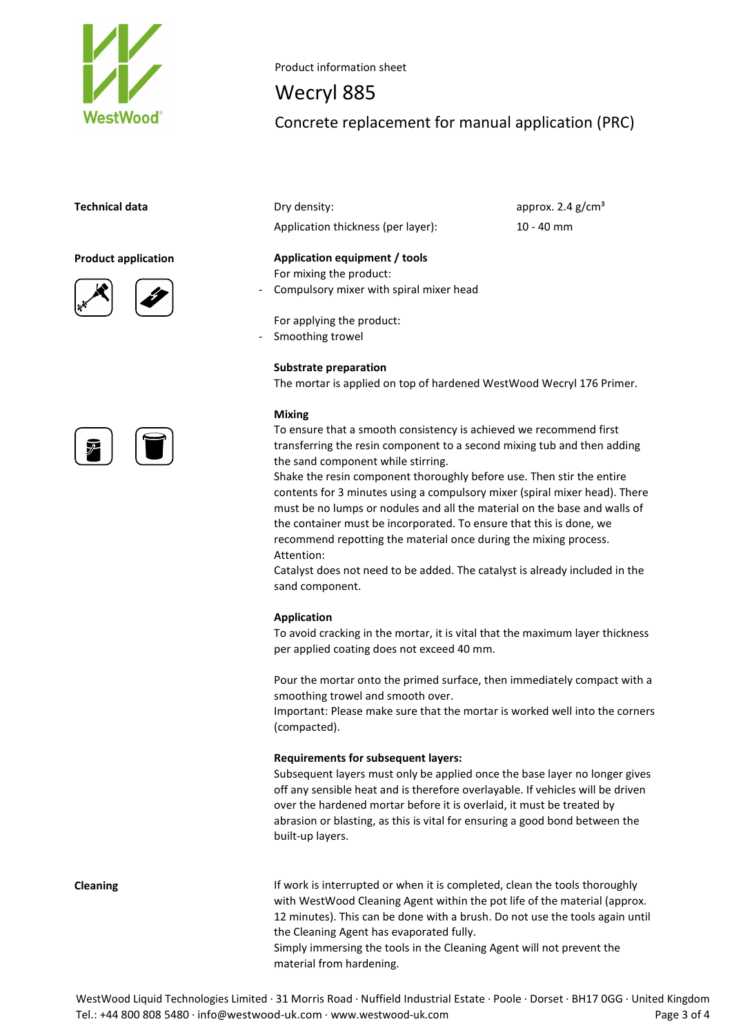



# Wecryl 885

Concrete replacement for manual application (PRC)

**Technical data Dry density: Comparison Comparison Comparison Comparison Comparison Comparison Comparison Comparison Comparison Comparison Comparison Comparison Comparison Comparison Comparison Comparison Comparison Co** Application thickness (per layer): 10 - 40 mm

**Product application Application equipment / tools** For mixing the product: - Compulsory mixer with spiral mixer head

> For applying the product: Smoothing trowel

# **Substrate preparation**

The mortar is applied on top of hardened WestWood Wecryl 176 Primer.

### **Mixing**

To ensure that a smooth consistency is achieved we recommend first transferring the resin component to a second mixing tub and then adding the sand component while stirring.

Shake the resin component thoroughly before use. Then stir the entire contents for 3 minutes using a compulsory mixer (spiral mixer head). There must be no lumps or nodules and all the material on the base and walls of the container must be incorporated. To ensure that this is done, we recommend repotting the material once during the mixing process. Attention:

Catalyst does not need to be added. The catalyst is already included in the sand component.

### **Application**

To avoid cracking in the mortar, it is vital that the maximum layer thickness per applied coating does not exceed 40 mm.

Pour the mortar onto the primed surface, then immediately compact with a smoothing trowel and smooth over.

Important: Please make sure that the mortar is worked well into the corners (compacted).

### **Requirements for subsequent layers:**

Subsequent layers must only be applied once the base layer no longer gives off any sensible heat and is therefore overlayable. If vehicles will be driven over the hardened mortar before it is overlaid, it must be treated by abrasion or blasting, as this is vital for ensuring a good bond between the built-up layers.

**Cleaning If work is interrupted or when it is completed, clean the tools thoroughly** with WestWood Cleaning Agent within the pot life of the material (approx. 12 minutes). This can be done with a brush. Do not use the tools again until the Cleaning Agent has evaporated fully. Simply immersing the tools in the Cleaning Agent will not prevent the material from hardening.

WestWood Liquid Technologies Limited · 31 Morris Road · Nuffield Industrial Estate · Poole · Dorset · BH17 0GG · United Kingdom Tel.: +44 800 808 5480 · info@westwood-uk.com · www.westwood-uk.com example a set the page 3 of 4